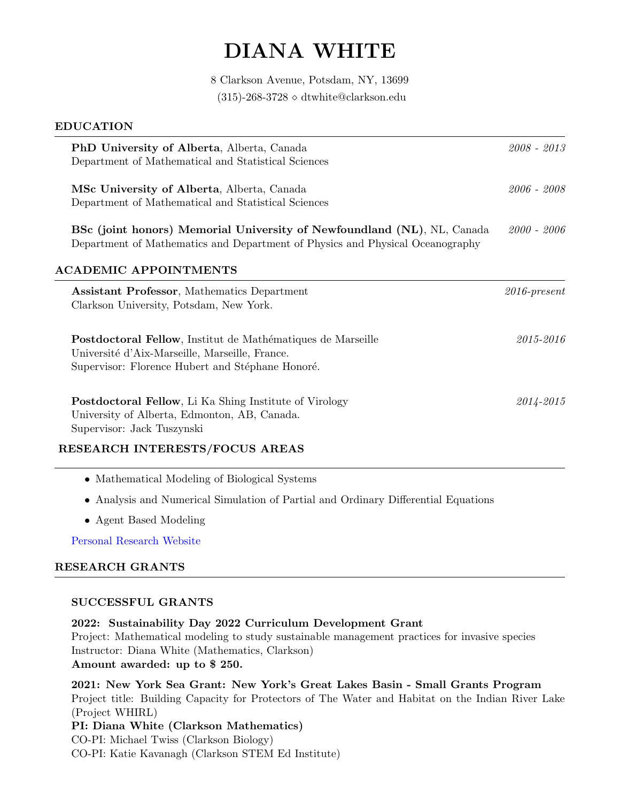# DIANA WHITE

8 Clarkson Avenue, Potsdam, NY, 13699 (315)-268-3728  $\diamond$  dtwhite@clarkson.edu

| <b>EDUCATION</b>                                                                                                                                         |                 |
|----------------------------------------------------------------------------------------------------------------------------------------------------------|-----------------|
| PhD University of Alberta, Alberta, Canada                                                                                                               | $2008 - 2013$   |
| Department of Mathematical and Statistical Sciences                                                                                                      |                 |
| MSc University of Alberta, Alberta, Canada                                                                                                               | 2006 - 2008     |
| Department of Mathematical and Statistical Sciences                                                                                                      |                 |
| BSc (joint honors) Memorial University of Newfoundland (NL), NL, Canada<br>Department of Mathematics and Department of Physics and Physical Oceanography | $2000 - 2006$   |
| <b>ACADEMIC APPOINTMENTS</b>                                                                                                                             |                 |
|                                                                                                                                                          |                 |
| <b>Assistant Professor, Mathematics Department</b><br>Clarkson University, Potsdam, New York.                                                            | $2016$ -present |
| Postdoctoral Fellow, Institut de Mathématiques de Marseille                                                                                              | 2015-2016       |
| Université d'Aix-Marseille, Marseille, France.                                                                                                           |                 |
| Supervisor: Florence Hubert and Stéphane Honoré.                                                                                                         |                 |
| Postdoctoral Fellow, Li Ka Shing Institute of Virology                                                                                                   | 2014-2015       |
| University of Alberta, Edmonton, AB, Canada.                                                                                                             |                 |
| Supervisor: Jack Tuszynski                                                                                                                               |                 |
| RESEARCH INTERESTS/FOCUS AREAS                                                                                                                           |                 |
| • Mathematical Modeling of Biological Systems                                                                                                            |                 |

- Analysis and Numerical Simulation of Partial and Ordinary Differential Equations
- Agent Based Modeling

[Personal Research Website](https://dtwhite4.wixsite.com/dwhite)

# RESEARCH GRANTS

#### SUCCESSFUL GRANTS

2022: Sustainability Day 2022 Curriculum Development Grant Project: Mathematical modeling to study sustainable management practices for invasive species Instructor: Diana White (Mathematics, Clarkson) Amount awarded: up to \$ 250.

2021: New York Sea Grant: New York's Great Lakes Basin - Small Grants Program Project title: Building Capacity for Protectors of The Water and Habitat on the Indian River Lake (Project WHIRL) PI: Diana White (Clarkson Mathematics)

CO-PI: Michael Twiss (Clarkson Biology) CO-PI: Katie Kavanagh (Clarkson STEM Ed Institute)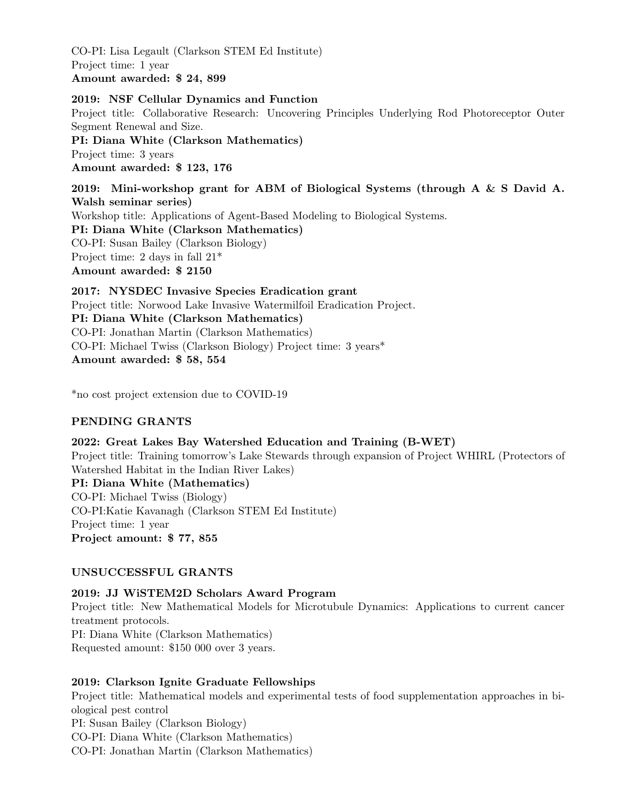CO-PI: Lisa Legault (Clarkson STEM Ed Institute) Project time: 1 year Amount awarded: \$ 24, 899

2019: NSF Cellular Dynamics and Function Project title: Collaborative Research: Uncovering Principles Underlying Rod Photoreceptor Outer Segment Renewal and Size. PI: Diana White (Clarkson Mathematics) Project time: 3 years Amount awarded: \$ 123, 176 2019: Mini-workshop grant for ABM of Biological Systems (through A & S David A. Walsh seminar series) Workshop title: Applications of Agent-Based Modeling to Biological Systems. PI: Diana White (Clarkson Mathematics)

CO-PI: Susan Bailey (Clarkson Biology) Project time: 2 days in fall 21\*

Amount awarded: \$ 2150

2017: NYSDEC Invasive Species Eradication grant Project title: Norwood Lake Invasive Watermilfoil Eradication Project. PI: Diana White (Clarkson Mathematics) CO-PI: Jonathan Martin (Clarkson Mathematics) CO-PI: Michael Twiss (Clarkson Biology) Project time: 3 years\* Amount awarded: \$ 58, 554

\*no cost project extension due to COVID-19

# PENDING GRANTS

## 2022: Great Lakes Bay Watershed Education and Training (B-WET)

Project title: Training tomorrow's Lake Stewards through expansion of Project WHIRL (Protectors of Watershed Habitat in the Indian River Lakes)

PI: Diana White (Mathematics) CO-PI: Michael Twiss (Biology) CO-PI:Katie Kavanagh (Clarkson STEM Ed Institute) Project time: 1 year Project amount: \$ 77, 855

## UNSUCCESSFUL GRANTS

2019: JJ WiSTEM2D Scholars Award Program Project title: New Mathematical Models for Microtubule Dynamics: Applications to current cancer treatment protocols. PI: Diana White (Clarkson Mathematics) Requested amount: \$150 000 over 3 years.

# 2019: Clarkson Ignite Graduate Fellowships

Project title: Mathematical models and experimental tests of food supplementation approaches in biological pest control PI: Susan Bailey (Clarkson Biology) CO-PI: Diana White (Clarkson Mathematics) CO-PI: Jonathan Martin (Clarkson Mathematics)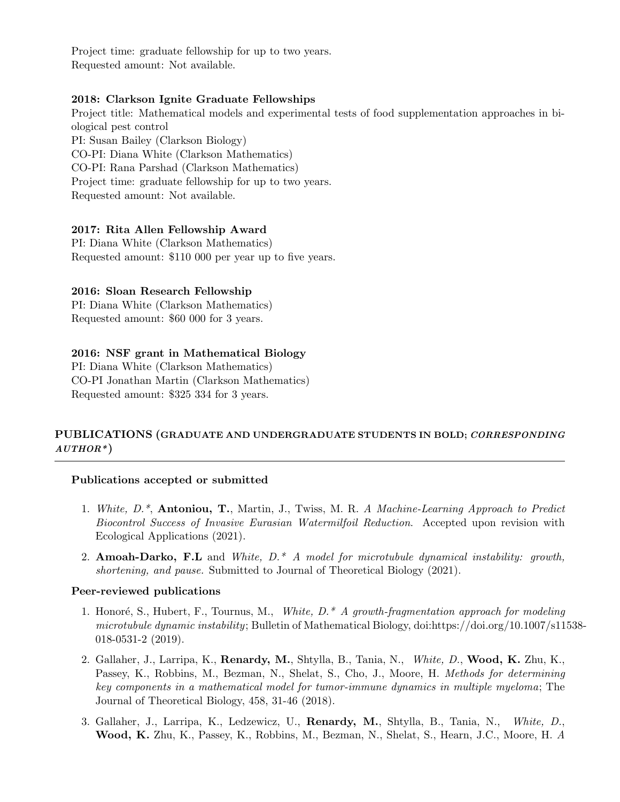Project time: graduate fellowship for up to two years. Requested amount: Not available.

#### 2018: Clarkson Ignite Graduate Fellowships

Project title: Mathematical models and experimental tests of food supplementation approaches in biological pest control PI: Susan Bailey (Clarkson Biology) CO-PI: Diana White (Clarkson Mathematics) CO-PI: Rana Parshad (Clarkson Mathematics) Project time: graduate fellowship for up to two years. Requested amount: Not available.

#### 2017: Rita Allen Fellowship Award

PI: Diana White (Clarkson Mathematics) Requested amount: \$110 000 per year up to five years.

#### 2016: Sloan Research Fellowship

PI: Diana White (Clarkson Mathematics) Requested amount: \$60 000 for 3 years.

#### 2016: NSF grant in Mathematical Biology

PI: Diana White (Clarkson Mathematics) CO-PI Jonathan Martin (Clarkson Mathematics) Requested amount: \$325 334 for 3 years.

# PUBLICATIONS (GRADUATE AND UNDERGRADUATE STUDENTS IN BOLD; CORRESPONDING  $AUTHOR^*$

#### Publications accepted or submitted

- 1. White, D.\*, Antoniou, T., Martin, J., Twiss, M. R. A Machine-Learning Approach to Predict Biocontrol Success of Invasive Eurasian Watermilfoil Reduction. Accepted upon revision with Ecological Applications (2021).
- 2. Amoah-Darko, F.L and White,  $D^*$  A model for microtubule dynamical instability: growth, shortening, and pause. Submitted to Journal of Theoretical Biology (2021).

#### Peer-reviewed publications

- 1. Honoré, S., Hubert, F., Tournus, M., White,  $D^* A$  growth-fragmentation approach for modeling microtubule dynamic instability; Bulletin of Mathematical Biology, doi:https://doi.org/10.1007/s11538- 018-0531-2 (2019).
- 2. Gallaher, J., Larripa, K., Renardy, M., Shtylla, B., Tania, N., White, D., Wood, K. Zhu, K., Passey, K., Robbins, M., Bezman, N., Shelat, S., Cho, J., Moore, H. *Methods for determining* key components in a mathematical model for tumor-immune dynamics in multiple myeloma; The Journal of Theoretical Biology, 458, 31-46 (2018).
- 3. Gallaher, J., Larripa, K., Ledzewicz, U., Renardy, M., Shtylla, B., Tania, N., White, D., Wood, K. Zhu, K., Passey, K., Robbins, M., Bezman, N., Shelat, S., Hearn, J.C., Moore, H. A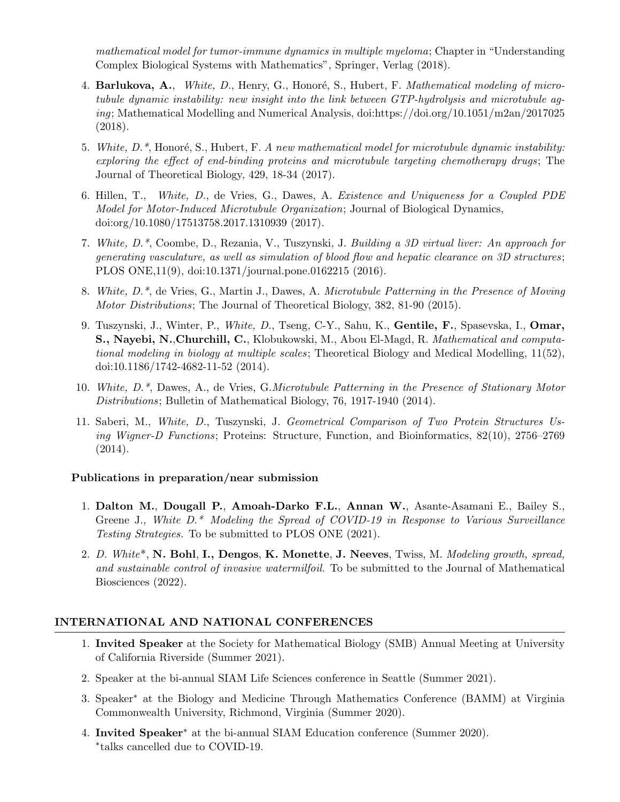mathematical model for tumor-immune dynamics in multiple myeloma; Chapter in "Understanding Complex Biological Systems with Mathematics", Springer, Verlag (2018).

- 4. Barlukova, A., White, D., Henry, G., Honoré, S., Hubert, F. Mathematical modeling of microtubule dynamic instability: new insight into the link between GTP-hydrolysis and microtubule aging; Mathematical Modelling and Numerical Analysis, doi:https://doi.org/10.1051/m2an/2017025 (2018).
- 5. White,  $D^*$ , Honoré, S., Hubert, F. A new mathematical model for microtubule dynamic instability: exploring the effect of end-binding proteins and microtubule targeting chemotherapy drugs; The Journal of Theoretical Biology, 429, 18-34 (2017).
- 6. Hillen, T., White, D., de Vries, G., Dawes, A. Existence and Uniqueness for a Coupled PDE Model for Motor-Induced Microtubule Organization; Journal of Biological Dynamics, doi:org/10.1080/17513758.2017.1310939 (2017).
- 7. White, D.\*, Coombe, D., Rezania, V., Tuszynski, J. Building a 3D virtual liver: An approach for generating vasculature, as well as simulation of blood flow and hepatic clearance on 3D structures ; PLOS ONE,11(9), doi:10.1371/journal.pone.0162215 (2016).
- 8. White, D.\*, de Vries, G., Martin J., Dawes, A. Microtubule Patterning in the Presence of Moving Motor Distributions; The Journal of Theoretical Biology, 382, 81-90 (2015).
- 9. Tuszynski, J., Winter, P., White, D., Tseng, C-Y., Sahu, K., Gentile, F., Spasevska, I., Omar, S., Nayebi, N.,Churchill, C., Klobukowski, M., Abou El-Magd, R. Mathematical and computational modeling in biology at multiple scales; Theoretical Biology and Medical Modelling, 11(52), doi:10.1186/1742-4682-11-52 (2014).
- 10. White, D.\*, Dawes, A., de Vries, G.Microtubule Patterning in the Presence of Stationary Motor Distributions; Bulletin of Mathematical Biology, 76, 1917-1940 (2014).
- 11. Saberi, M., White, D., Tuszynski, J. Geometrical Comparison of Two Protein Structures Using Wigner-D Functions; Proteins: Structure, Function, and Bioinformatics, 82(10), 2756–2769 (2014).

## Publications in preparation/near submission

- 1. Dalton M., Dougall P., Amoah-Darko F.L., Annan W., Asante-Asamani E., Bailey S., Greene J., White D.\* Modeling the Spread of COVID-19 in Response to Various Surveillance Testing Strategies. To be submitted to PLOS ONE (2021).
- 2. D. White\*, N. Bohl, I., Dengos, K. Monette, J. Neeves, Twiss, M. Modeling growth, spread, and sustainable control of invasive watermilfoil. To be submitted to the Journal of Mathematical Biosciences (2022).

## INTERNATIONAL AND NATIONAL CONFERENCES

- 1. Invited Speaker at the Society for Mathematical Biology (SMB) Annual Meeting at University of California Riverside (Summer 2021).
- 2. Speaker at the bi-annual SIAM Life Sciences conference in Seattle (Summer 2021).
- 3. Speaker<sup>∗</sup> at the Biology and Medicine Through Mathematics Conference (BAMM) at Virginia Commonwealth University, Richmond, Virginia (Summer 2020).
- 4. Invited Speaker<sup>∗</sup> at the bi-annual SIAM Education conference (Summer 2020). ∗ talks cancelled due to COVID-19.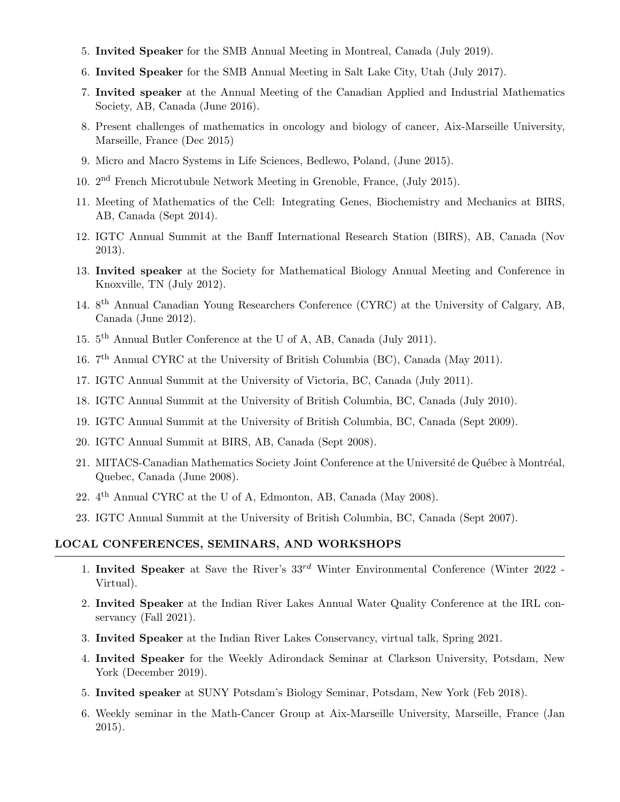- 5. Invited Speaker for the SMB Annual Meeting in Montreal, Canada (July 2019).
- 6. Invited Speaker for the SMB Annual Meeting in Salt Lake City, Utah (July 2017).
- 7. Invited speaker at the Annual Meeting of the Canadian Applied and Industrial Mathematics Society, AB, Canada (June 2016).
- 8. Present challenges of mathematics in oncology and biology of cancer, Aix-Marseille University, Marseille, France (Dec 2015)
- 9. Micro and Macro Systems in Life Sciences, Bedlewo, Poland, (June 2015).
- 10. 2 nd French Microtubule Network Meeting in Grenoble, France, (July 2015).
- 11. Meeting of Mathematics of the Cell: Integrating Genes, Biochemistry and Mechanics at BIRS, AB, Canada (Sept 2014).
- 12. IGTC Annual Summit at the Banff International Research Station (BIRS), AB, Canada (Nov 2013).
- 13. Invited speaker at the Society for Mathematical Biology Annual Meeting and Conference in Knoxville, TN (July 2012).
- 14. 8<sup>th</sup> Annual Canadian Young Researchers Conference (CYRC) at the University of Calgary, AB, Canada (June 2012).
- 15. 5 th Annual Butler Conference at the U of A, AB, Canada (July 2011).
- 16. 7 th Annual CYRC at the University of British Columbia (BC), Canada (May 2011).
- 17. IGTC Annual Summit at the University of Victoria, BC, Canada (July 2011).
- 18. IGTC Annual Summit at the University of British Columbia, BC, Canada (July 2010).
- 19. IGTC Annual Summit at the University of British Columbia, BC, Canada (Sept 2009).
- 20. IGTC Annual Summit at BIRS, AB, Canada (Sept 2008).
- 21. MITACS-Canadian Mathematics Society Joint Conference at the Université de Québec à Montréal, Quebec, Canada (June 2008).
- 22. 4<sup>th</sup> Annual CYRC at the U of A, Edmonton, AB, Canada (May 2008).
- 23. IGTC Annual Summit at the University of British Columbia, BC, Canada (Sept 2007).

## LOCAL CONFERENCES, SEMINARS, AND WORKSHOPS

- 1. Invited Speaker at Save the River's  $33^{rd}$  Winter Environmental Conference (Winter 2022 -Virtual).
- 2. Invited Speaker at the Indian River Lakes Annual Water Quality Conference at the IRL conservancy (Fall 2021).
- 3. Invited Speaker at the Indian River Lakes Conservancy, virtual talk, Spring 2021.
- 4. Invited Speaker for the Weekly Adirondack Seminar at Clarkson University, Potsdam, New York (December 2019).
- 5. Invited speaker at SUNY Potsdam's Biology Seminar, Potsdam, New York (Feb 2018).
- 6. Weekly seminar in the Math-Cancer Group at Aix-Marseille University, Marseille, France (Jan 2015).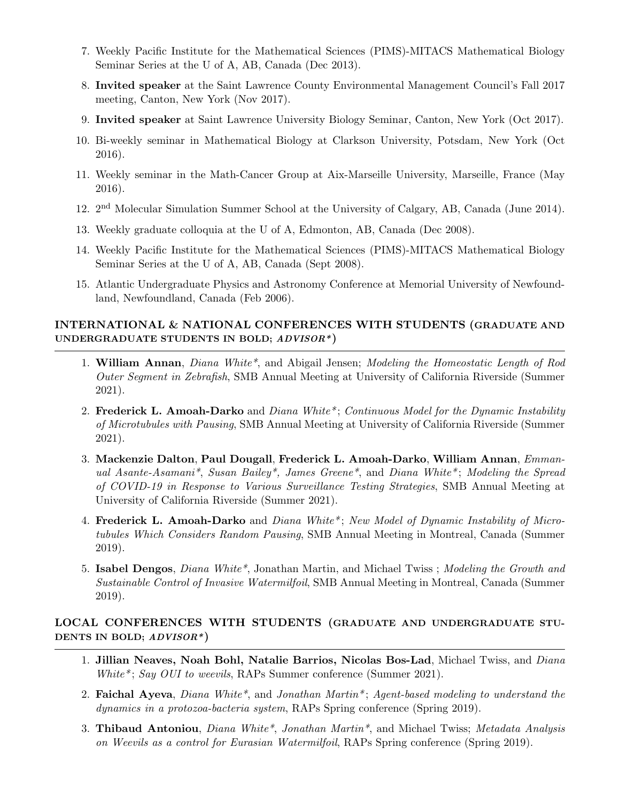- 7. Weekly Pacific Institute for the Mathematical Sciences (PIMS)-MITACS Mathematical Biology Seminar Series at the U of A, AB, Canada (Dec 2013).
- 8. Invited speaker at the Saint Lawrence County Environmental Management Council's Fall 2017 meeting, Canton, New York (Nov 2017).
- 9. Invited speaker at Saint Lawrence University Biology Seminar, Canton, New York (Oct 2017).
- 10. Bi-weekly seminar in Mathematical Biology at Clarkson University, Potsdam, New York (Oct 2016).
- 11. Weekly seminar in the Math-Cancer Group at Aix-Marseille University, Marseille, France (May 2016).
- 12. 2<sup>nd</sup> Molecular Simulation Summer School at the University of Calgary, AB, Canada (June 2014).
- 13. Weekly graduate colloquia at the U of A, Edmonton, AB, Canada (Dec 2008).
- 14. Weekly Pacific Institute for the Mathematical Sciences (PIMS)-MITACS Mathematical Biology Seminar Series at the U of A, AB, Canada (Sept 2008).
- 15. Atlantic Undergraduate Physics and Astronomy Conference at Memorial University of Newfoundland, Newfoundland, Canada (Feb 2006).

# INTERNATIONAL & NATIONAL CONFERENCES WITH STUDENTS (GRADUATE AND UNDERGRADUATE STUDENTS IN BOLD; ADVISOR\*)

- 1. William Annan, Diana White\*, and Abigail Jensen; Modeling the Homeostatic Length of Rod Outer Segment in Zebrafish, SMB Annual Meeting at University of California Riverside (Summer 2021).
- 2. Frederick L. Amoah-Darko and Diana White<sup>\*</sup>; Continuous Model for the Dynamic Instability of Microtubules with Pausing, SMB Annual Meeting at University of California Riverside (Summer 2021).
- 3. Mackenzie Dalton, Paul Dougall, Frederick L. Amoah-Darko, William Annan, Emmanual Asante-Asamani\*, Susan Bailey\*, James Greene\*, and Diana White\* ; Modeling the Spread of COVID-19 in Response to Various Surveillance Testing Strategies, SMB Annual Meeting at University of California Riverside (Summer 2021).
- 4. Frederick L. Amoah-Darko and Diana White<sup>\*</sup>: New Model of Dynamic Instability of Microtubules Which Considers Random Pausing, SMB Annual Meeting in Montreal, Canada (Summer 2019).
- 5. Isabel Dengos, Diana White\*, Jonathan Martin, and Michael Twiss ; Modeling the Growth and Sustainable Control of Invasive Watermilfoil, SMB Annual Meeting in Montreal, Canada (Summer 2019).

## LOCAL CONFERENCES WITH STUDENTS (GRADUATE AND UNDERGRADUATE STU-DENTS IN BOLD; ADVISOR\*)

- 1. Jillian Neaves, Noah Bohl, Natalie Barrios, Nicolas Bos-Lad, Michael Twiss, and Diana White\*; Say OUI to weevils, RAPs Summer conference (Summer 2021).
- 2. Faichal Ayeva, Diana White\*, and Jonathan Martin\*; Agent-based modeling to understand the dynamics in a protozoa-bacteria system, RAPs Spring conference (Spring 2019).
- 3. Thibaud Antoniou, Diana White\*, Jonathan Martin\*, and Michael Twiss; Metadata Analysis on Weevils as a control for Eurasian Watermilfoil, RAPs Spring conference (Spring 2019).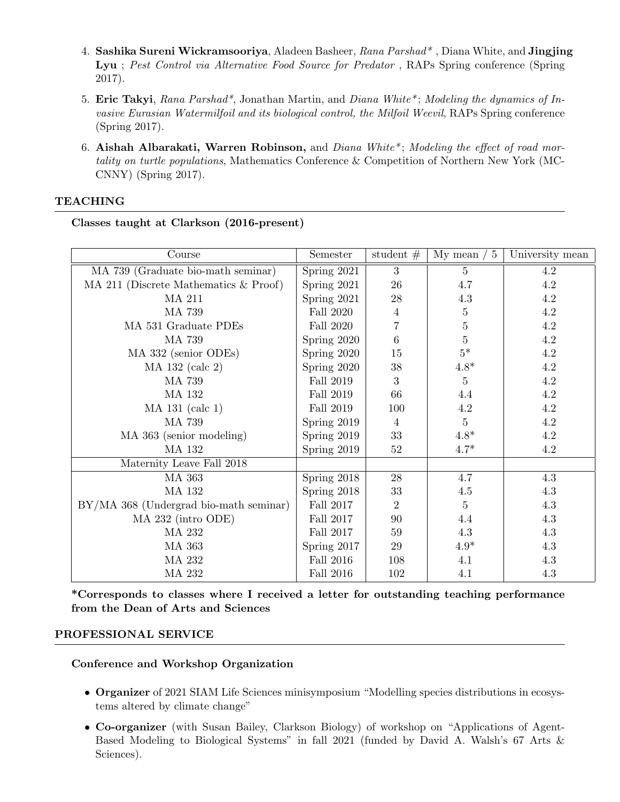- 4. Sashika Sureni Wickramsooriya, Aladeen Basheer, Rana Parshad<sup>\*</sup>, Diana White, and Jingjing Lyu; Pest Control via Alternative Food Source for Predator, RAPs Spring conference (Spring 2017).
- 5. Eric Takyi, Rana Parshad\*, Jonathan Martin, and Diana White\* ; Modeling the dynamics of Invasive Eurasian Watermilfoil and its biological control, the Milfoil Weevil, RAPs Spring conference (Spring 2017).
- 6. Aishah Albarakati, Warren Robinson, and Diana White<sup>\*</sup>; Modeling the effect of road mortality on turtle populations, Mathematics Conference & Competition of Northern New York (MC-CNNY) (Spring 2017).

## TEACHING

| Course                                 | Semester         | student $#$     | My mean $/5$   | University mean |
|----------------------------------------|------------------|-----------------|----------------|-----------------|
| MA 739 (Graduate bio-math seminar)     | Spring 2021      | 3               | 5              | 4.2             |
| MA 211 (Discrete Mathematics & Proof)  | Spring 2021      | 26              | 4.7            | 4.2             |
| MA 211                                 | Spring 2021      | 28              | 4.3            | 4.2             |
| MA 739                                 | Fall 2020        | 4               | $\overline{5}$ | 4.2             |
| MA 531 Graduate PDEs                   | Fall 2020        | 7               | 5              | 4.2             |
| MA 739                                 | Spring 2020      | $6\phantom{.}6$ | $\bf 5$        | 4.2             |
| MA 332 (senior ODEs)                   | Spring 2020      | 15              | $5^\ast$       | 4.2             |
| $MA$ 132 (calc 2)                      | Spring 2020      | $38\,$          | $4.8*$         | 4.2             |
| MA 739                                 | Fall 2019        | 3               | $\overline{5}$ | 4.2             |
| <b>MA 132</b>                          | Fall 2019        | 66              | 4.4            | 4.2             |
| MA 131 (calc 1)                        | Fall 2019        | 100             | $4.2\,$        | 4.2             |
| MA 739                                 | Spring 2019      | $\overline{4}$  | $\overline{5}$ | 4.2             |
| MA 363 (senior modeling)               | Spring 2019      | 33              | $4.8*$         | 4.2             |
| <b>MA 132</b>                          | Spring 2019      | 52              | $4.7*$         | 4.2             |
| Maternity Leave Fall 2018              |                  |                 |                |                 |
| MA 363                                 | Spring 2018      | 28              | 4.7            | 4.3             |
| MA 132                                 | Spring 2018      | 33              | 4.5            | 4.3             |
| BY/MA 368 (Undergrad bio-math seminar) | Fall 2017        | $\overline{2}$  | $\bf 5$        | 4.3             |
| MA 232 (intro ODE)                     | Fall 2017        | 90              | 4.4            | $4.3\,$         |
| MA 232                                 | <b>Fall 2017</b> | 59              | 4.3            | 4.3             |
| MA 363                                 | Spring 2017      | $\,29$          | $4.9*$         | 4.3             |
| MA 232                                 | <b>Fall 2016</b> | 108             | 4.1            | 4.3             |
| MA 232                                 | <b>Fall 2016</b> | 102             | 4.1            | 4.3             |

Classes taught at Clarkson (2016-present)

\*Corresponds to classes where I received a letter for outstanding teaching performance from the Dean of Arts and Sciences

## PROFESSIONAL SERVICE

Conference and Workshop Organization

- Organizer of 2021 SIAM Life Sciences minisymposium "Modelling species distributions in ecosystems altered by climate change"
- Co-organizer (with Susan Bailey, Clarkson Biology) of workshop on "Applications of Agent-Based Modeling to Biological Systems" in fall 2021 (funded by David A. Walsh's 67 Arts & Sciences).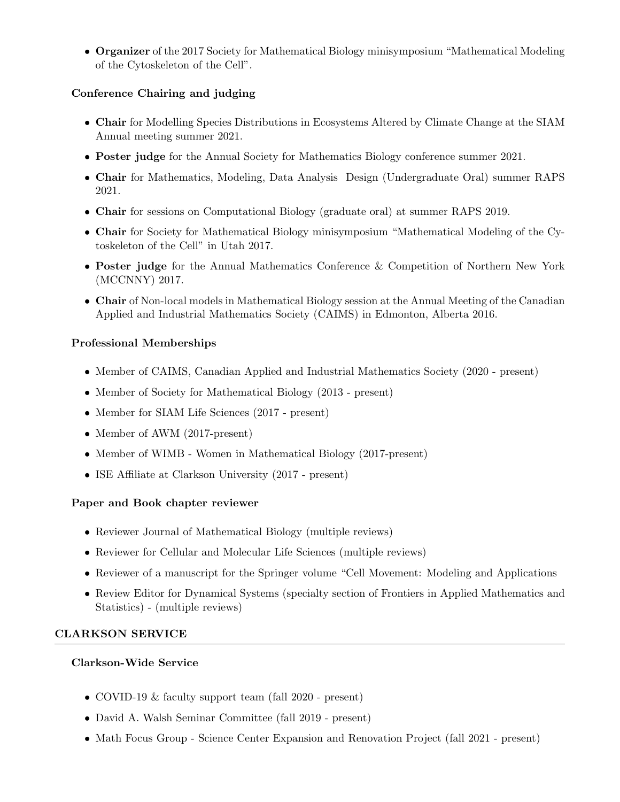• Organizer of the 2017 Society for Mathematical Biology minisymposium "Mathematical Modeling of the Cytoskeleton of the Cell".

# Conference Chairing and judging

- Chair for Modelling Species Distributions in Ecosystems Altered by Climate Change at the SIAM Annual meeting summer 2021.
- **Poster judge** for the Annual Society for Mathematics Biology conference summer 2021.
- Chair for Mathematics, Modeling, Data Analysis Design (Undergraduate Oral) summer RAPS 2021.
- Chair for sessions on Computational Biology (graduate oral) at summer RAPS 2019.
- Chair for Society for Mathematical Biology minisymposium "Mathematical Modeling of the Cytoskeleton of the Cell" in Utah 2017.
- Poster judge for the Annual Mathematics Conference & Competition of Northern New York (MCCNNY) 2017.
- Chair of Non-local models in Mathematical Biology session at the Annual Meeting of the Canadian Applied and Industrial Mathematics Society (CAIMS) in Edmonton, Alberta 2016.

# Professional Memberships

- Member of CAIMS, Canadian Applied and Industrial Mathematics Society (2020 present)
- Member of Society for Mathematical Biology (2013 present)
- Member for SIAM Life Sciences (2017 present)
- Member of AWM (2017-present)
- Member of WIMB Women in Mathematical Biology (2017-present)
- ISE Affiliate at Clarkson University (2017 present)

# Paper and Book chapter reviewer

- Reviewer Journal of Mathematical Biology (multiple reviews)
- Reviewer for Cellular and Molecular Life Sciences (multiple reviews)
- Reviewer of a manuscript for the Springer volume "Cell Movement: Modeling and Applications
- Review Editor for Dynamical Systems (specialty section of Frontiers in Applied Mathematics and Statistics) - (multiple reviews)

# CLARKSON SERVICE

# Clarkson-Wide Service

- COVID-19 & faculty support team (fall 2020 present)
- David A. Walsh Seminar Committee (fall 2019 present)
- Math Focus Group Science Center Expansion and Renovation Project (fall 2021 present)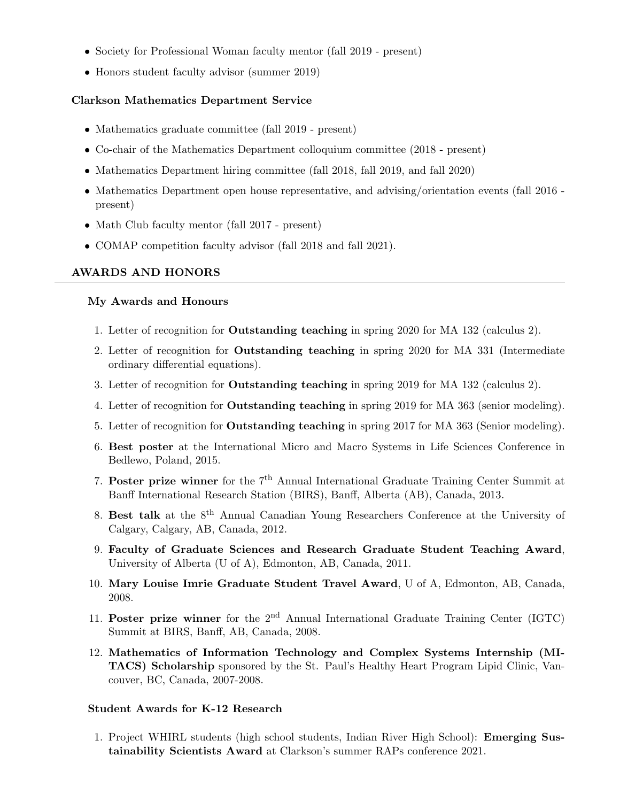- Society for Professional Woman faculty mentor (fall 2019 present)
- Honors student faculty advisor (summer 2019)

#### Clarkson Mathematics Department Service

- Mathematics graduate committee (fall 2019 present)
- Co-chair of the Mathematics Department colloquium committee (2018 present)
- Mathematics Department hiring committee (fall 2018, fall 2019, and fall 2020)
- Mathematics Department open house representative, and advising/orientation events (fall 2016 present)
- Math Club faculty mentor (fall 2017 present)
- COMAP competition faculty advisor (fall 2018 and fall 2021).

#### AWARDS AND HONORS

#### My Awards and Honours

- 1. Letter of recognition for Outstanding teaching in spring 2020 for MA 132 (calculus 2).
- 2. Letter of recognition for Outstanding teaching in spring 2020 for MA 331 (Intermediate ordinary differential equations).
- 3. Letter of recognition for Outstanding teaching in spring 2019 for MA 132 (calculus 2).
- 4. Letter of recognition for Outstanding teaching in spring 2019 for MA 363 (senior modeling).
- 5. Letter of recognition for Outstanding teaching in spring 2017 for MA 363 (Senior modeling).
- 6. Best poster at the International Micro and Macro Systems in Life Sciences Conference in Bedlewo, Poland, 2015.
- 7. Poster prize winner for the  $7<sup>th</sup>$  Annual International Graduate Training Center Summit at Banff International Research Station (BIRS), Banff, Alberta (AB), Canada, 2013.
- 8. Best talk at the 8<sup>th</sup> Annual Canadian Young Researchers Conference at the University of Calgary, Calgary, AB, Canada, 2012.
- 9. Faculty of Graduate Sciences and Research Graduate Student Teaching Award, University of Alberta (U of A), Edmonton, AB, Canada, 2011.
- 10. Mary Louise Imrie Graduate Student Travel Award, U of A, Edmonton, AB, Canada, 2008.
- 11. Poster prize winner for the  $2<sup>nd</sup>$  Annual International Graduate Training Center (IGTC) Summit at BIRS, Banff, AB, Canada, 2008.
- 12. Mathematics of Information Technology and Complex Systems Internship (MI-TACS) Scholarship sponsored by the St. Paul's Healthy Heart Program Lipid Clinic, Vancouver, BC, Canada, 2007-2008.

#### Student Awards for K-12 Research

1. Project WHIRL students (high school students, Indian River High School): Emerging Sustainability Scientists Award at Clarkson's summer RAPs conference 2021.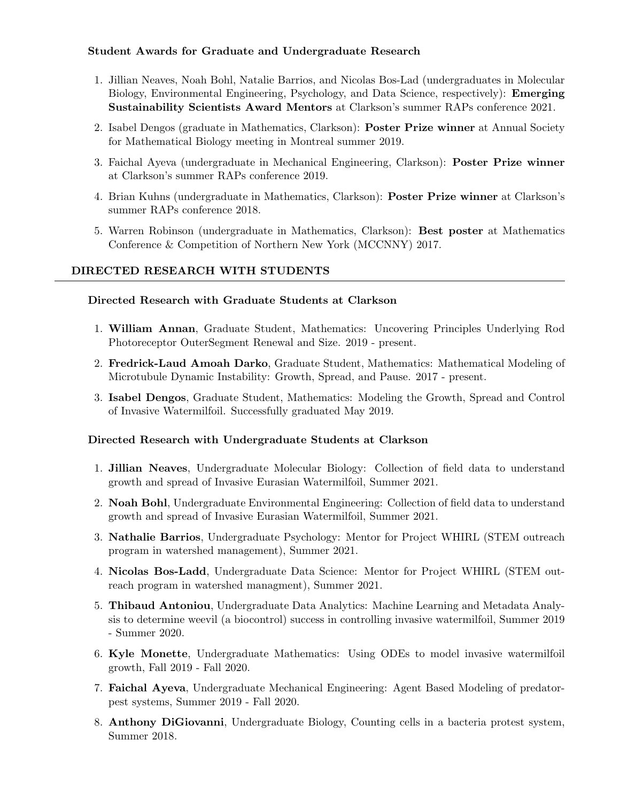## Student Awards for Graduate and Undergraduate Research

- 1. Jillian Neaves, Noah Bohl, Natalie Barrios, and Nicolas Bos-Lad (undergraduates in Molecular Biology, Environmental Engineering, Psychology, and Data Science, respectively): Emerging Sustainability Scientists Award Mentors at Clarkson's summer RAPs conference 2021.
- 2. Isabel Dengos (graduate in Mathematics, Clarkson): Poster Prize winner at Annual Society for Mathematical Biology meeting in Montreal summer 2019.
- 3. Faichal Ayeva (undergraduate in Mechanical Engineering, Clarkson): Poster Prize winner at Clarkson's summer RAPs conference 2019.
- 4. Brian Kuhns (undergraduate in Mathematics, Clarkson): Poster Prize winner at Clarkson's summer RAPs conference 2018.
- 5. Warren Robinson (undergraduate in Mathematics, Clarkson): Best poster at Mathematics Conference & Competition of Northern New York (MCCNNY) 2017.

# DIRECTED RESEARCH WITH STUDENTS

## Directed Research with Graduate Students at Clarkson

- 1. William Annan, Graduate Student, Mathematics: Uncovering Principles Underlying Rod Photoreceptor OuterSegment Renewal and Size. 2019 - present.
- 2. Fredrick-Laud Amoah Darko, Graduate Student, Mathematics: Mathematical Modeling of Microtubule Dynamic Instability: Growth, Spread, and Pause. 2017 - present.
- 3. Isabel Dengos, Graduate Student, Mathematics: Modeling the Growth, Spread and Control of Invasive Watermilfoil. Successfully graduated May 2019.

## Directed Research with Undergraduate Students at Clarkson

- 1. Jillian Neaves, Undergraduate Molecular Biology: Collection of field data to understand growth and spread of Invasive Eurasian Watermilfoil, Summer 2021.
- 2. Noah Bohl, Undergraduate Environmental Engineering: Collection of field data to understand growth and spread of Invasive Eurasian Watermilfoil, Summer 2021.
- 3. Nathalie Barrios, Undergraduate Psychology: Mentor for Project WHIRL (STEM outreach program in watershed management), Summer 2021.
- 4. Nicolas Bos-Ladd, Undergraduate Data Science: Mentor for Project WHIRL (STEM outreach program in watershed managment), Summer 2021.
- 5. Thibaud Antoniou, Undergraduate Data Analytics: Machine Learning and Metadata Analysis to determine weevil (a biocontrol) success in controlling invasive watermilfoil, Summer 2019 - Summer 2020.
- 6. Kyle Monette, Undergraduate Mathematics: Using ODEs to model invasive watermilfoil growth, Fall 2019 - Fall 2020.
- 7. Faichal Ayeva, Undergraduate Mechanical Engineering: Agent Based Modeling of predatorpest systems, Summer 2019 - Fall 2020.
- 8. Anthony DiGiovanni, Undergraduate Biology, Counting cells in a bacteria protest system, Summer 2018.